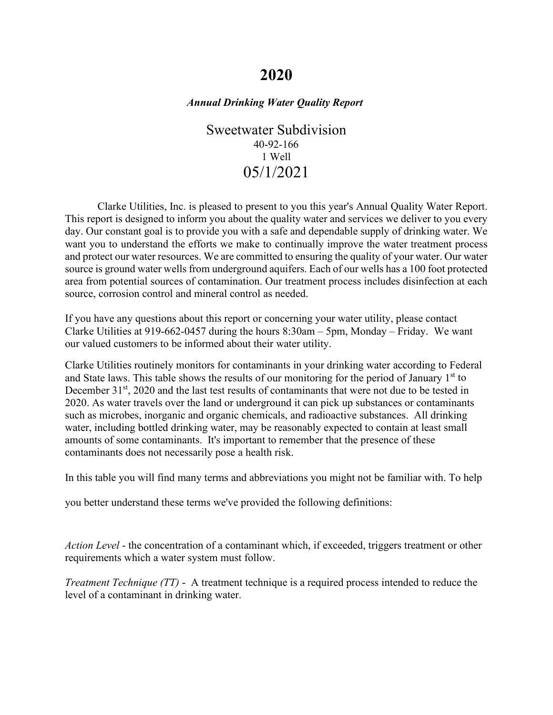# **2020**

## *Annual Drinking Water Quality Report*

Sweetwater Subdivision 40-92-166 1 Well 05/1/2021

Clarke Utilities, Inc. is pleased to present to you this year's Annual Quality Water Report. This report is designed to inform you about the quality water and services we deliver to you every day. Our constant goal is to provide you with a safe and dependable supply of drinking water. We want you to understand the efforts we make to continually improve the water treatment process and protect our water resources. We are committed to ensuring the quality of your water. Our water source is ground water wells from underground aquifers. Each of our wells has a 100 foot protected area from potential sources of contamination. Our treatment process includes disinfection at each source, corrosion control and mineral control as needed.

If you have any questions about this report or concerning your water utility, please contact Clarke Utilities at 919-662-0457 during the hours 8:30am – 5pm, Monday – Friday. We want our valued customers to be informed about their water utility.

Clarke Utilities routinely monitors for contaminants in your drinking water according to Federal and State laws. This table shows the results of our monitoring for the period of January  $1<sup>st</sup>$  to December 31<sup>st</sup>, 2020 and the last test results of contaminants that were not due to be tested in 2020. As water travels over the land or underground it can pick up substances or contaminants such as microbes, inorganic and organic chemicals, and radioactive substances. All drinking water, including bottled drinking water, may be reasonably expected to contain at least small amounts of some contaminants. It's important to remember that the presence of these contaminants does not necessarily pose a health risk.

In this table you will find many terms and abbreviations you might not be familiar with. To help

you better understand these terms we've provided the following definitions:

*Action Level* - the concentration of a contaminant which, if exceeded, triggers treatment or other requirements which a water system must follow.

*Treatment Technique (TT)* - A treatment technique is a required process intended to reduce the level of a contaminant in drinking water.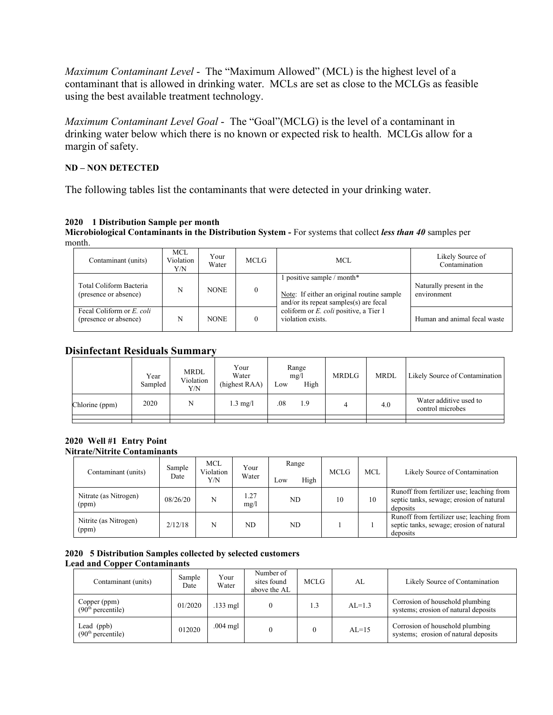*Maximum Contaminant Level* - The "Maximum Allowed" (MCL) is the highest level of a contaminant that is allowed in drinking water. MCLs are set as close to the MCLGs as feasible using the best available treatment technology.

*Maximum Contaminant Level Goal* - The "Goal"(MCLG) is the level of a contaminant in drinking water below which there is no known or expected risk to health. MCLGs allow for a margin of safety.

### **ND – NON DETECTED**

The following tables list the contaminants that were detected in your drinking water.

## **2020 1 Distribution Sample per month**

**Microbiological Contaminants in the Distribution System -** For systems that collect *less than 40* samples per month.

| Contaminant (units)                                | <b>MCL</b><br>Violation<br>Y/N | Your<br>Water | <b>MCLG</b> | MCL.                                                                                                               | Likely Source of<br>Contamination       |
|----------------------------------------------------|--------------------------------|---------------|-------------|--------------------------------------------------------------------------------------------------------------------|-----------------------------------------|
| Total Coliform Bacteria<br>(presence or absence)   | N                              | <b>NONE</b>   | $\theta$    | 1 positive sample / month*<br>Note: If either an original routine sample<br>and/or its repeat samples(s) are fecal | Naturally present in the<br>environment |
| Fecal Coliform or E. coli<br>(presence or absence) | N                              | <b>NONE</b>   |             | coliform or <i>E. coli</i> positive, a Tier 1<br>violation exists.                                                 | Human and animal fecal waste            |

# **Disinfectant Residuals Summary**

|                | Year<br>Sampled | <b>MRDL</b><br>Violation<br>Y/N | Your<br>Water<br>(highest RAA) | Low | Range<br>mg/l<br>High | <b>MRDLG</b> | <b>MRDL</b> | Likely Source of Contamination             |
|----------------|-----------------|---------------------------------|--------------------------------|-----|-----------------------|--------------|-------------|--------------------------------------------|
| Chlorine (ppm) | 2020            | N                               | $1.3 \text{ mg/l}$             | .08 | 1.9                   |              | 4.0         | Water additive used to<br>control microbes |
|                |                 |                                 |                                |     |                       |              |             |                                            |

#### **2020 Well #1 Entry Point Nitrate/Nitrite Contaminants**

| Contaminant (units)            | Sample<br>Date | <b>MCL</b><br>Violation<br>Y/N | Your<br>Water | Range<br>High<br>Low | <b>MCLG</b> | <b>MCL</b> | Likely Source of Contamination                                                                    |
|--------------------------------|----------------|--------------------------------|---------------|----------------------|-------------|------------|---------------------------------------------------------------------------------------------------|
| Nitrate (as Nitrogen)<br>(ppm) | 08/26/20       | N                              | 1.27<br>mg/l  | ND                   | 10          | 10         | Runoff from fertilizer use; leaching from<br>septic tanks, sewage; erosion of natural<br>deposits |
| Nitrite (as Nitrogen)<br>(ppm) | 2/12/18        | N                              | ND.           | ND                   |             |            | Runoff from fertilizer use; leaching from<br>septic tanks, sewage; erosion of natural<br>deposits |

#### **2020 5 Distribution Samples collected by selected customers Lead and Copper Contaminants**

| Contaminant (units)                           | Sample<br>Date | Your<br>Water | Number of<br>sites found<br>above the AL | <b>MCLG</b> | AL       | Likely Source of Contamination                                          |
|-----------------------------------------------|----------------|---------------|------------------------------------------|-------------|----------|-------------------------------------------------------------------------|
| Copper (ppm)<br>(90 <sup>th</sup> percentile) | 01/2020        | $.133$ mgl    |                                          | 1.3         | $AL=1.3$ | Corrosion of household plumbing<br>systems; erosion of natural deposits |
| Lead $(ppb)$<br>(90 <sup>th</sup> percentile) | 012020         | $.004$ mgl    |                                          |             | $AL=15$  | Corrosion of household plumbing<br>systems; erosion of natural deposits |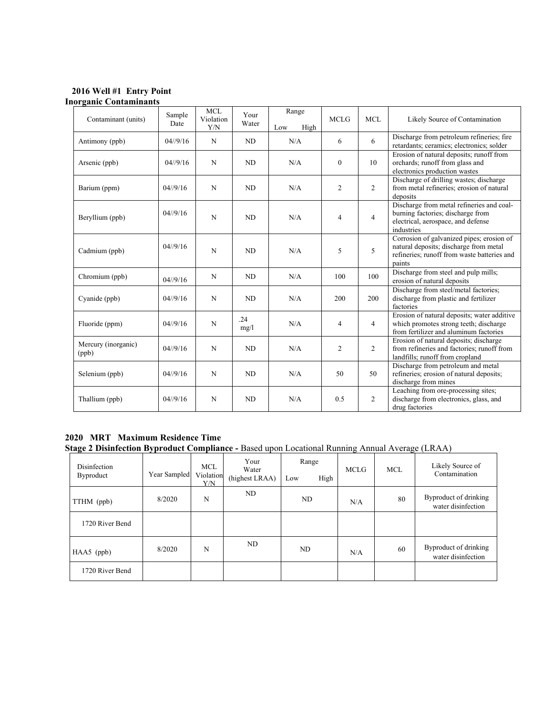**2016 Well #1 Entry Point Inorganic Contaminants** 

|                              | Sample            | <b>MCL</b>       | Your        | Range       |                |                |                                                                                                                                              |
|------------------------------|-------------------|------------------|-------------|-------------|----------------|----------------|----------------------------------------------------------------------------------------------------------------------------------------------|
| Contaminant (units)          | Date              | Violation<br>Y/N | Water       | High<br>Low | <b>MCLG</b>    | <b>MCL</b>     | Likely Source of Contamination                                                                                                               |
| Antimony (ppb)               | $04/\frac{9}{16}$ | N                | ND          | N/A         | 6              | 6              | Discharge from petroleum refineries; fire<br>retardants; ceramics; electronics; solder                                                       |
| Arsenic (ppb)                | $04/\frac{9}{16}$ | N                | ND          | N/A         | $\theta$       | 10             | Erosion of natural deposits; runoff from<br>orchards; runoff from glass and<br>electronics production wastes                                 |
| Barium (ppm)                 | $04/\frac{9}{16}$ | N                | ND          | N/A         | $\overline{2}$ | $\overline{2}$ | Discharge of drilling wastes; discharge<br>from metal refineries; erosion of natural<br>deposits                                             |
| Beryllium (ppb)              | $04/\frac{9}{16}$ | N                | ND          | N/A         | $\overline{4}$ | $\overline{4}$ | Discharge from metal refineries and coal-<br>burning factories; discharge from<br>electrical, aerospace, and defense<br>industries           |
| Cadmium (ppb)                | 04//9/16          | N                | ND          | N/A         | 5              | 5              | Corrosion of galvanized pipes; erosion of<br>natural deposits; discharge from metal<br>refineries; runoff from waste batteries and<br>paints |
| Chromium (ppb)               | $04/\frac{9}{16}$ | N                | ND          | N/A         | 100            | 100            | Discharge from steel and pulp mills;<br>erosion of natural deposits                                                                          |
| Cyanide (ppb)                | $04/\frac{9}{16}$ | N                | ND.         | N/A         | 200            | 200            | Discharge from steel/metal factories;<br>discharge from plastic and fertilizer<br>factories                                                  |
| Fluoride (ppm)               | $04/\frac{9}{16}$ | N                | .24<br>mg/l | N/A         | $\overline{4}$ | $\overline{4}$ | Erosion of natural deposits; water additive<br>which promotes strong teeth; discharge<br>from fertilizer and aluminum factories              |
| Mercury (inorganic)<br>(ppb) | $04/\frac{9}{16}$ | N                | ND          | N/A         | $\overline{2}$ | $\overline{2}$ | Erosion of natural deposits; discharge<br>from refineries and factories; runoff from<br>landfills; runoff from cropland                      |
| Selenium (ppb)               | $04/\frac{9}{16}$ | N                | ND          | N/A         | 50             | 50             | Discharge from petroleum and metal<br>refineries; erosion of natural deposits;<br>discharge from mines                                       |
| Thallium (ppb)               | $04/\frac{9}{16}$ | N                | ND          | N/A         | 0.5            | $\overline{2}$ | Leaching from ore-processing sites;<br>discharge from electronics, glass, and<br>drug factories                                              |

# **2020 MRT Maximum Residence Time**

**Stage 2 Disinfection Byproduct Compliance -** Based upon Locational Running Annual Average (LRAA)

| Disinfection<br>Byproduct | Year Sampled | <b>MCL</b><br>Violation<br>Y/N | Your<br>Water<br>(highest LRAA) | Range<br>High<br>Low | <b>MCLG</b> | <b>MCL</b> | Likely Source of<br>Contamination           |
|---------------------------|--------------|--------------------------------|---------------------------------|----------------------|-------------|------------|---------------------------------------------|
| TTHM (ppb)                | 8/2020       | N                              | ND                              | ND                   | N/A         | 80         | Byproduct of drinking<br>water disinfection |
| 1720 River Bend           |              |                                |                                 |                      |             |            |                                             |
| $HAA5$ (ppb)              | 8/2020       | N                              | ND                              | ND                   | N/A         | 60         | Byproduct of drinking<br>water disinfection |
| 1720 River Bend           |              |                                |                                 |                      |             |            |                                             |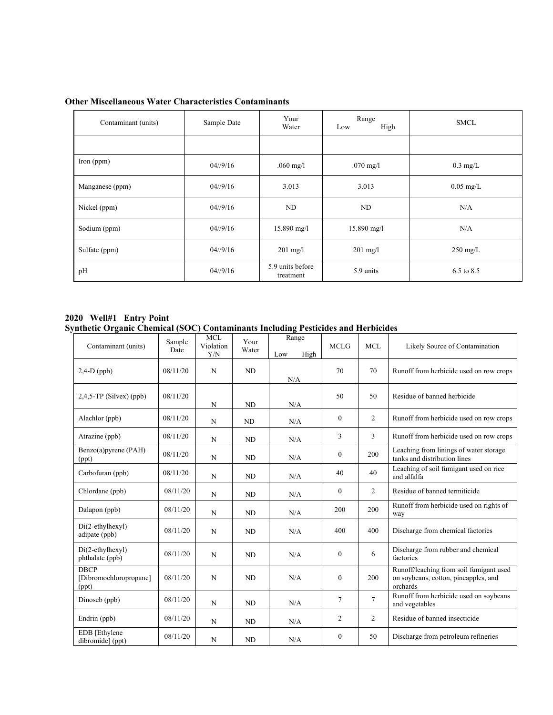| Contaminant (units) | Sample Date       | Your<br>Water                 | Range<br>High<br>Low | <b>SMCL</b>           |
|---------------------|-------------------|-------------------------------|----------------------|-----------------------|
|                     |                   |                               |                      |                       |
| Iron $(ppm)$        | $04/\frac{9}{16}$ | $.060$ mg/l                   | $.070$ mg/l          | $0.3 \text{ mg/L}$    |
| Manganese (ppm)     | $04/\frac{9}{16}$ | 3.013                         | 3.013                | $0.05$ mg/L           |
| Nickel (ppm)        | $04/\frac{9}{16}$ | ND                            | ND                   | N/A                   |
| Sodium (ppm)        | $04/\frac{9}{16}$ | $15.890$ mg/l                 | $15.890$ mg/l        | N/A                   |
| Sulfate (ppm)       | $04/\frac{9}{16}$ | $201 \text{ mg/l}$            | $201 \text{ mg/l}$   | $250 \text{ mg/L}$    |
| pH                  | $04/\frac{9}{16}$ | 5.9 units before<br>treatment | 5.9 units            | $6.5 \text{ to } 8.5$ |

#### **Other Miscellaneous Water Characteristics Contaminants**

**2020 Well#1 Entry Point Synthetic Organic Chemical (SOC) Contaminants Including Pesticides and Herbicides** 

| Contaminant (units)                            | Sample<br>Date | <b>MCL</b><br>Violation<br>Y/N | Your<br>Water | Range<br>High<br>Low | <b>MCLG</b>    | MCL            | Likely Source of Contamination                                                              |
|------------------------------------------------|----------------|--------------------------------|---------------|----------------------|----------------|----------------|---------------------------------------------------------------------------------------------|
| $2,4-D$ (ppb)                                  | 08/11/20       | N                              | ND            | N/A                  | 70             | 70             | Runoff from herbicide used on row crops                                                     |
| $2,4,5$ -TP (Silvex) (ppb)                     | 08/11/20       | N                              | ND            | N/A                  | 50             | 50             | Residue of banned herbicide                                                                 |
| Alachlor (ppb)                                 | 08/11/20       | N                              | ND            | N/A                  | $\theta$       | 2              | Runoff from herbicide used on row crops                                                     |
| Atrazine (ppb)                                 | 08/11/20       | N                              | ND            | N/A                  | 3              | 3              | Runoff from herbicide used on row crops                                                     |
| Benzo(a)pyrene (PAH)<br>(ppt)                  | 08/11/20       | N                              | ND            | N/A                  | $\mathbf{0}$   | 200            | Leaching from linings of water storage<br>tanks and distribution lines                      |
| Carbofuran (ppb)                               | 08/11/20       | N                              | <b>ND</b>     | N/A                  | 40             | 40             | Leaching of soil fumigant used on rice<br>and alfalfa                                       |
| Chlordane (ppb)                                | 08/11/20       | N                              | ND            | N/A                  | $\overline{0}$ | $\overline{c}$ | Residue of banned termiticide                                                               |
| Dalapon (ppb)                                  | 08/11/20       | N                              | <b>ND</b>     | N/A                  | 200            | 200            | Runoff from herbicide used on rights of<br>way                                              |
| $Di(2-ethylhexyl)$<br>adipate (ppb)            | 08/11/20       | N                              | ND            | N/A                  | 400            | 400            | Discharge from chemical factories                                                           |
| $Di(2-ethylhexyl)$<br>phthalate (ppb)          | 08/11/20       | N                              | ND            | N/A                  | $\overline{0}$ | 6              | Discharge from rubber and chemical<br>factories                                             |
| <b>DBCP</b><br>[Dibromochloropropane]<br>(ppt) | 08/11/20       | N                              | ND            | N/A                  | $\theta$       | 200            | Runoff/leaching from soil fumigant used<br>on soybeans, cotton, pineapples, and<br>orchards |
| Dinoseb (ppb)                                  | 08/11/20       | N                              | ND            | N/A                  | $\tau$         | $\tau$         | Runoff from herbicide used on soybeans<br>and vegetables                                    |
| Endrin (ppb)                                   | 08/11/20       | N                              | <b>ND</b>     | N/A                  | $\overline{c}$ | $\overline{2}$ | Residue of banned insecticide                                                               |
| EDB [Ethylene<br>dibromide] (ppt)              | 08/11/20       | N                              | <b>ND</b>     | N/A                  | $\Omega$       | 50             | Discharge from petroleum refineries                                                         |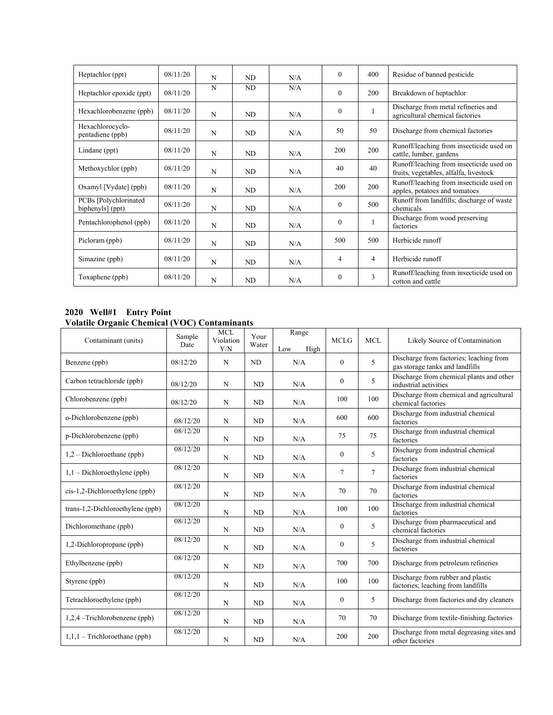| Heptachlor (ppt)                           | 08/11/20 | N | ND             | N/A | $\theta$ | 400 | Residue of banned pesticide                                                        |
|--------------------------------------------|----------|---|----------------|-----|----------|-----|------------------------------------------------------------------------------------|
| Heptachlor epoxide (ppt)                   | 08/11/20 | N | N <sub>D</sub> | N/A | $\theta$ | 200 | Breakdown of heptachlor                                                            |
| Hexachlorobenzene (ppb)                    | 08/11/20 | N | ND             | N/A | $\theta$ |     | Discharge from metal refineries and<br>agricultural chemical factories             |
| Hexachlorocyclo-<br>pentadiene (ppb)       | 08/11/20 | N | ND             | N/A | 50       | 50  | Discharge from chemical factories                                                  |
| Lindane (ppt)                              | 08/11/20 | N | ND             | N/A | 200      | 200 | Runoff/leaching from insecticide used on<br>cattle, lumber, gardens                |
| Methoxychlor (ppb)                         | 08/11/20 | N | ND             | N/A | 40       | 40  | Runoff/leaching from insecticide used on<br>fruits, vegetables, alfalfa, livestock |
| Oxamyl [Vydate] (ppb)                      | 08/11/20 | N | ND             | N/A | 200      | 200 | Runoff/leaching from insecticide used on<br>apples, potatoes and tomatoes          |
| PCBs [Polychlorinated]<br>biphenyls] (ppt) | 08/11/20 | N | ND             | N/A | $\theta$ | 500 | Runoff from landfills; discharge of waste<br>chemicals                             |
| Pentachlorophenol (ppb)                    | 08/11/20 | N | ND             | N/A | $\theta$ | 1   | Discharge from wood preserving<br>factories                                        |
| Picloram (ppb)                             | 08/11/20 | N | ND             | N/A | 500      | 500 | Herbicide runoff                                                                   |
| Simazine (ppb)                             | 08/11/20 | N | ND             | N/A | 4        | 4   | Herbicide runoff                                                                   |
| Toxaphene (ppb)                            | 08/11/20 | N | N <sub>D</sub> | N/A | $\theta$ | 3   | Runoff/leaching from insecticide used on<br>cotton and cattle                      |

#### **2020 Well#1 Entry Point Volatile Organic Chemical (VOC) Contaminants**

| Contaminant (units)              | Sample<br>Date | <b>MCL</b><br>Violation<br>Y/N | Your<br>Water  | $\overline{Range}$<br>Low<br>High | <b>MCLG</b>  | MCL            | Likely Source of Contamination                                             |
|----------------------------------|----------------|--------------------------------|----------------|-----------------------------------|--------------|----------------|----------------------------------------------------------------------------|
| Benzene (ppb)                    | 08/12/20       | N                              | ND             | N/A                               | $\theta$     | 5              | Discharge from factories; leaching from<br>gas storage tanks and landfills |
| Carbon tetrachloride (ppb)       | 08/12/20       | N                              | ND             | N/A                               | $\mathbf{0}$ | 5              | Discharge from chemical plants and other<br>industrial activities          |
| Chlorobenzene (ppb)              | 08/12/20       | N                              | N <sub>D</sub> | N/A                               | 100          | 100            | Discharge from chemical and agricultural<br>chemical factories             |
| o-Dichlorobenzene (ppb)          | 08/12/20       | N                              | <b>ND</b>      | N/A                               | 600          | 600            | Discharge from industrial chemical<br>factories                            |
| p-Dichlorobenzene (ppb)          | 08/12/20       | N                              | <b>ND</b>      | N/A                               | 75           | 75             | Discharge from industrial chemical<br>factories                            |
| $1,2$ – Dichloroethane (ppb)     | 08/12/20       | N                              | <b>ND</b>      | N/A                               | $\mathbf{0}$ | 5              | Discharge from industrial chemical<br>factories                            |
| $1,1$ – Dichloroethylene (ppb)   | 08/12/20       | N                              | N <sub>D</sub> | N/A                               | $\tau$       | $\overline{7}$ | Discharge from industrial chemical<br>factories                            |
| cis-1,2-Dichloroethylene (ppb)   | 08/12/20       | N                              | N <sub>D</sub> | N/A                               | 70           | 70             | Discharge from industrial chemical<br>factories                            |
| trans-1,2-Dichloroethylene (ppb) | 08/12/20       | N                              | N <sub>D</sub> | N/A                               | 100          | 100            | Discharge from industrial chemical<br>factories                            |
| Dichloromethane (ppb)            | 08/12/20       | N                              | N <sub>D</sub> | N/A                               | $\mathbf{0}$ | 5              | Discharge from pharmaceutical and<br>chemical factories                    |
| 1,2-Dichloropropane (ppb)        | 08/12/20       | N                              | ND             | N/A                               | $\mathbf{0}$ | 5              | Discharge from industrial chemical<br>factories                            |
| Ethylbenzene (ppb)               | 08/12/20       | N                              | ND             | N/A                               | 700          | 700            | Discharge from petroleum refineries                                        |
| Styrene (ppb)                    | 08/12/20       | N                              | N <sub>D</sub> | N/A                               | 100          | 100            | Discharge from rubber and plastic<br>factories; leaching from landfills    |
| Tetrachloroethylene (ppb)        | 08/12/20       | N                              | <b>ND</b>      | N/A                               | $\mathbf{0}$ | 5              | Discharge from factories and dry cleaners                                  |
| 1,2,4 -Trichlorobenzene (ppb)    | 08/12/20       | N                              | <b>ND</b>      | N/A                               | 70           | 70             | Discharge from textile-finishing factories                                 |
| $1,1,1$ – Trichloroethane (ppb)  | 08/12/20       | N                              | <b>ND</b>      | N/A                               | 200          | 200            | Discharge from metal degreasing sites and<br>other factories               |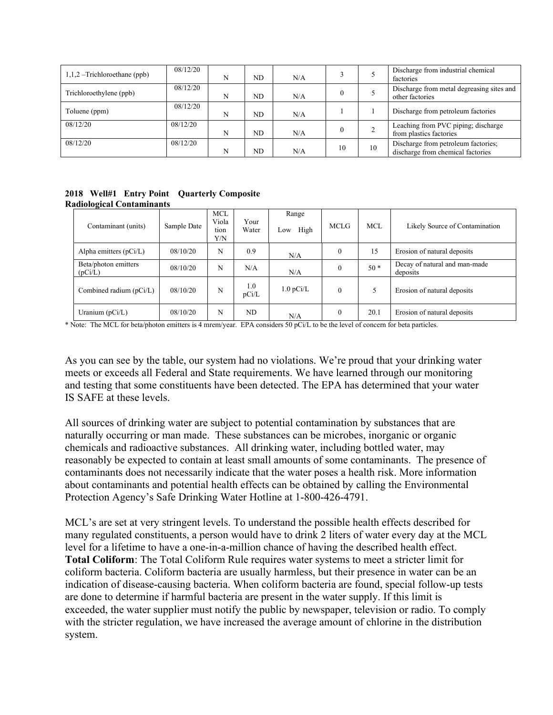| $1,1,2$ –Trichloroethane (ppb) | 08/12/20 | N | ND | N/A |    |    | Discharge from industrial chemical<br>factories                          |
|--------------------------------|----------|---|----|-----|----|----|--------------------------------------------------------------------------|
| Trichloroethylene (ppb)        | 08/12/20 | N | ND | N/A |    |    | Discharge from metal degreasing sites and<br>other factories             |
| Toluene (ppm)                  | 08/12/20 | N | ND | N/A |    |    | Discharge from petroleum factories                                       |
| 08/12/20                       | 08/12/20 | N | ND | N/A |    |    | Leaching from PVC piping; discharge<br>from plastics factories           |
| 08/12/20                       | 08/12/20 | N | ND | N/A | 10 | 10 | Discharge from petroleum factories;<br>discharge from chemical factories |

**2018 Well#1 Entry Point Quarterly Composite Radiological Contaminants**

| Contaminant (units)             | Sample Date | <b>MCL</b><br>Viola<br>tion<br>Y/N | Your<br>Water | Range<br>High<br>Low   | <b>MCLG</b> | <b>MCL</b> | Likely Source of Contamination            |
|---------------------------------|-------------|------------------------------------|---------------|------------------------|-------------|------------|-------------------------------------------|
| Alpha emitters $(pCi/L)$        | 08/10/20    | N                                  | 0.9           | N/A                    | $\theta$    | 15         | Erosion of natural deposits               |
| Beta/photon emitters<br>(pCi/L) | 08/10/20    | N                                  | N/A           | N/A                    |             | $50*$      | Decay of natural and man-made<br>deposits |
| Combined radium $(pCi/L)$       | 08/10/20    | N                                  | 1.0<br>pCi/L  | $1.0 \,\mathrm{pCi/L}$ | $\theta$    |            | Erosion of natural deposits               |
| Uranium $(pCi/L)$               | 08/10/20    | N                                  | ND            | N/A                    | $\theta$    | 20.1       | Erosion of natural deposits               |

\* Note: The MCL for beta/photon emitters is 4 mrem/year. EPA considers 50 pCi/L to be the level of concern for beta particles.

As you can see by the table, our system had no violations. We're proud that your drinking water meets or exceeds all Federal and State requirements. We have learned through our monitoring and testing that some constituents have been detected. The EPA has determined that your water IS SAFE at these levels.

All sources of drinking water are subject to potential contamination by substances that are naturally occurring or man made. These substances can be microbes, inorganic or organic chemicals and radioactive substances. All drinking water, including bottled water, may reasonably be expected to contain at least small amounts of some contaminants. The presence of contaminants does not necessarily indicate that the water poses a health risk. More information about contaminants and potential health effects can be obtained by calling the Environmental Protection Agency's Safe Drinking Water Hotline at 1-800-426-4791.

MCL's are set at very stringent levels. To understand the possible health effects described for many regulated constituents, a person would have to drink 2 liters of water every day at the MCL level for a lifetime to have a one-in-a-million chance of having the described health effect. **Total Coliform**: The Total Coliform Rule requires water systems to meet a stricter limit for coliform bacteria. Coliform bacteria are usually harmless, but their presence in water can be an indication of disease-causing bacteria. When coliform bacteria are found, special follow-up tests are done to determine if harmful bacteria are present in the water supply. If this limit is exceeded, the water supplier must notify the public by newspaper, television or radio. To comply with the stricter regulation, we have increased the average amount of chlorine in the distribution system.